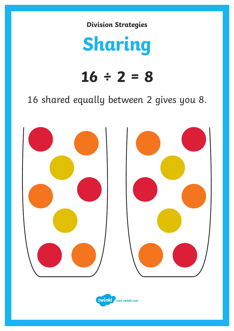# **Sharing**

### **16 ÷ 2 = 8**

16 shared equally between 2 gives you 8.



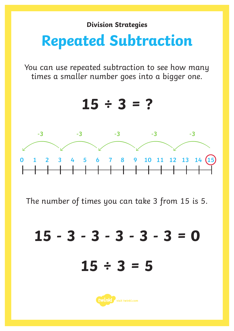## **Repeated Subtraction**

You can use repeated subtraction to see how many times a smaller number goes into a bigger one.



The number of times you can take 3 from 15 is 5.

**15 - 3 - 3 - 3 - 3 - 3 = 0 15 ÷ 3 = 5**

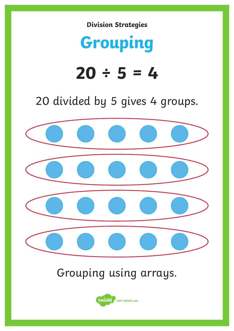## **Grouping**

# $20 \div 5 = 4$

#### 20 divided by 5 gives 4 groups.



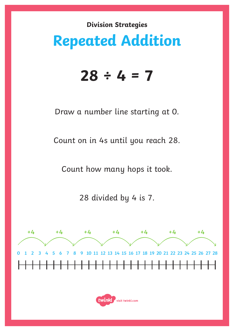### **Repeated Addition**

#### **28 ÷ 4 = 7**

Draw a number line starting at 0.

Count on in 4s until you reach 28.

Count how many hops it took.

28 divided by 4 is 7.



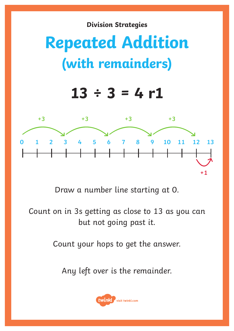# **Repeated Addition (with remainders)**

### $13 \div 3 = 4 r1$



Draw a number line starting at 0.

Count on in 3s getting as close to 13 as you can but not going past it.

Count your hops to get the answer.

Any left over is the remainder.

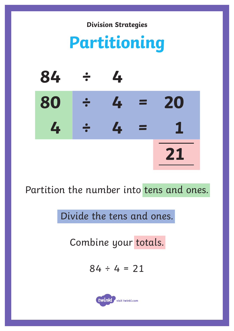

Partition the number into tens and ones.

Divide the tens and ones.

Combine your totals.

 $84 \div 4 = 21$ 

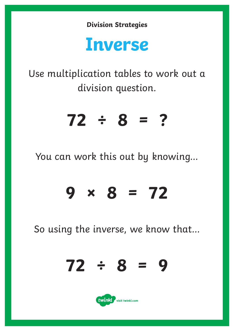## **Inverse**

Use multiplication tables to work out a division question.

## **72 ÷ 8 = ?**

You can work this out by knowing...

## **9 × 8 = 72**

So using the inverse, we know that...

$$
72 \div 8 = 9
$$

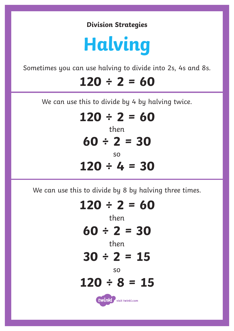# **Halving**

Sometimes you can use halving to divide into 2s, 4s and 8s.

#### **120 ÷ 2 = 60**

We can use this to divide by 4 by halving twice.

#### then **120 ÷ 2 = 60 60 ÷ 2 = 30**

#### so **120 ÷ 4 = 30**

We can use this to divide by 8 by halving three times.

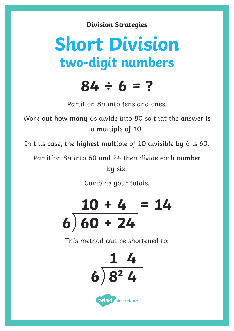# **Short Division two-digit numbers**

### **84 ÷ 6 = ?**

Partition 84 into tens and ones.

Work out how many 6s divide into 80 so that the answer is a multiple of 10.

In this case, the highest multiple of 10 divisible by 6 is 60.

Partition 84 into 60 and 24 then divide each number by six.

Combine your totals.



This method can be shortened to: